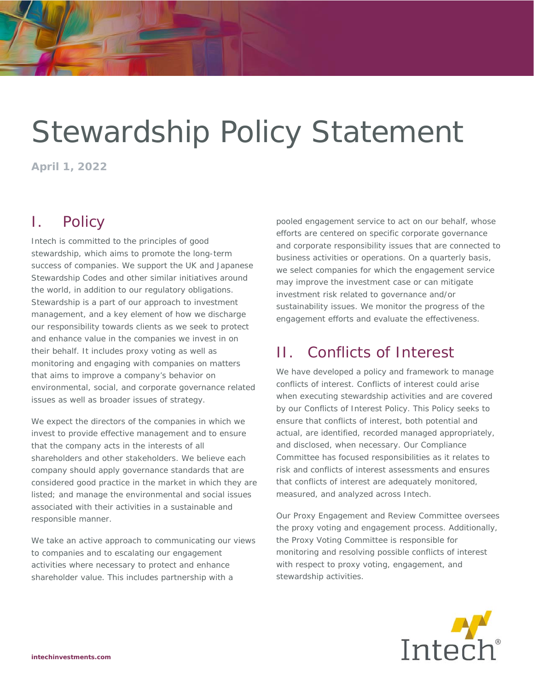# Stewardship Policy Statement

**April 1, 2022** 

## I. Policy

Intech is committed to the principles of good stewardship, which aims to promote the long-term success of companies. We support the UK and Japanese Stewardship Codes and other similar initiatives around the world, in addition to our regulatory obligations. Stewardship is a part of our approach to investment management, and a key element of how we discharge our responsibility towards clients as we seek to protect and enhance value in the companies we invest in on their behalf. It includes proxy voting as well as monitoring and engaging with companies on matters that aims to improve a company's behavior on environmental, social, and corporate governance related issues as well as broader issues of strategy.

We expect the directors of the companies in which we invest to provide effective management and to ensure that the company acts in the interests of all shareholders and other stakeholders. We believe each company should apply governance standards that are considered good practice in the market in which they are listed; and manage the environmental and social issues associated with their activities in a sustainable and responsible manner.

We take an active approach to communicating our views to companies and to escalating our engagement activities where necessary to protect and enhance shareholder value. This includes partnership with a

pooled engagement service to act on our behalf, whose efforts are centered on specific corporate governance and corporate responsibility issues that are connected to business activities or operations. On a quarterly basis, we select companies for which the engagement service may improve the investment case or can mitigate investment risk related to governance and/or sustainability issues. We monitor the progress of the engagement efforts and evaluate the effectiveness.

# II. Conflicts of Interest

We have developed a policy and framework to manage conflicts of interest. Conflicts of interest could arise when executing stewardship activities and are covered by our Conflicts of Interest Policy. This Policy seeks to ensure that conflicts of interest, both potential and actual, are identified, recorded managed appropriately, and disclosed, when necessary. Our Compliance Committee has focused responsibilities as it relates to risk and conflicts of interest assessments and ensures that conflicts of interest are adequately monitored, measured, and analyzed across Intech.

Our Proxy Engagement and Review Committee oversees the proxy voting and engagement process. Additionally, the Proxy Voting Committee is responsible for monitoring and resolving possible conflicts of interest with respect to proxy voting, engagement, and stewardship activities.

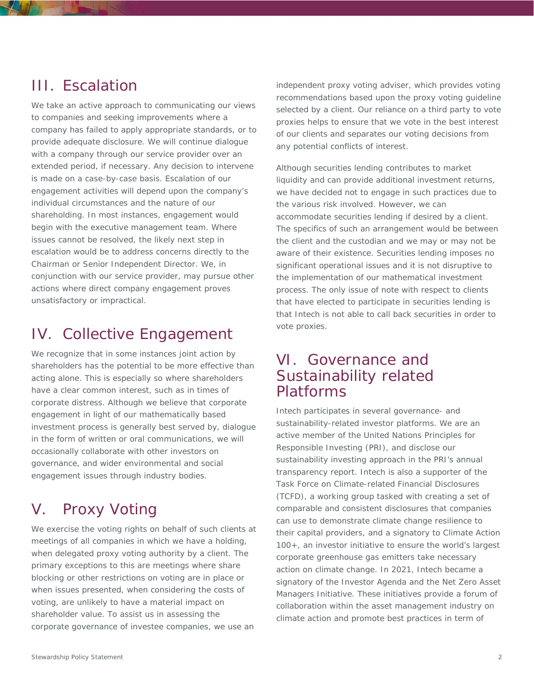#### III. Escalation

We take an active approach to communicating our views to companies and seeking improvements where a company has failed to apply appropriate standards, or to provide adequate disclosure. We will continue dialogue with a company through our service provider over an extended period, if necessary. Any decision to intervene is made on a case-by-case basis. Escalation of our engagement activities will depend upon the company's individual circumstances and the nature of our shareholding. In most instances, engagement would begin with the executive management team. Where issues cannot be resolved, the likely next step in escalation would be to address concerns directly to the Chairman or Senior Independent Director. We, in conjunction with our service provider, may pursue other actions where direct company engagement proves unsatisfactory or impractical.

## IV. Collective Engagement

We recognize that in some instances joint action by shareholders has the potential to be more effective than acting alone. This is especially so where shareholders have a clear common interest, such as in times of corporate distress. Although we believe that corporate engagement in light of our mathematically based investment process is generally best served by, dialogue in the form of written or oral communications, we will occasionally collaborate with other investors on governance, and wider environmental and social engagement issues through industry bodies.

# V. Proxy Voting

We exercise the voting rights on behalf of such clients at meetings of all companies in which we have a holding, when delegated proxy voting authority by a client. The primary exceptions to this are meetings where share blocking or other restrictions on voting are in place or when issues presented, when considering the costs of voting, are unlikely to have a material impact on shareholder value. To assist us in assessing the corporate governance of investee companies, we use an

independent proxy voting adviser, which provides voting recommendations based upon the proxy voting guideline selected by a client. Our reliance on a third party to vote proxies helps to ensure that we vote in the best interest of our clients and separates our voting decisions from any potential conflicts of interest.

Although securities lending contributes to market liquidity and can provide additional investment returns, we have decided not to engage in such practices due to the various risk involved. However, we can accommodate securities lending if desired by a client. The specifics of such an arrangement would be between the client and the custodian and we may or may not be aware of their existence. Securities lending imposes no significant operational issues and it is not disruptive to the implementation of our mathematical investment process. The only issue of note with respect to clients that have elected to participate in securities lending is that Intech is not able to call back securities in order to vote proxies.

#### VI. Governance and Sustainability related Platforms

Intech participates in several governance- and sustainability-related investor platforms. We are an active member of the United Nations Principles for Responsible Investing (PRI), and disclose our sustainability investing approach in the PRI's annual transparency report. Intech is also a supporter of the Task Force on Climate-related Financial Disclosures (TCFD), a working group tasked with creating a set of comparable and consistent disclosures that companies can use to demonstrate climate change resilience to their capital providers, and a signatory to Climate Action 100+, an investor initiative to ensure the world's largest corporate greenhouse gas emitters take necessary action on climate change. In 2021, Intech became a signatory of the Investor Agenda and the Net Zero Asset Managers Initiative. These initiatives provide a forum of collaboration within the asset management industry on climate action and promote best practices in term of